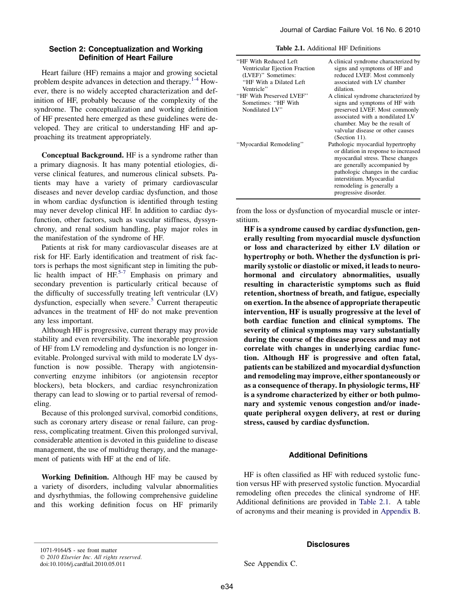#### Section 2: Conceptualization and Working Definition of Heart Failure

Heart failure (HF) remains a major and growing societal problem despite advances in detection and therapy.[1-4](#page-1-0) However, there is no widely accepted characterization and definition of HF, probably because of the complexity of the syndrome. The conceptualization and working definition of HF presented here emerged as these guidelines were developed. They are critical to understanding HF and approaching its treatment appropriately.

Conceptual Background. HF is a syndrome rather than a primary diagnosis. It has many potential etiologies, diverse clinical features, and numerous clinical subsets. Patients may have a variety of primary cardiovascular diseases and never develop cardiac dysfunction, and those in whom cardiac dysfunction is identified through testing may never develop clinical HF. In addition to cardiac dysfunction, other factors, such as vascular stiffness, dyssynchrony, and renal sodium handling, play major roles in the manifestation of the syndrome of HF.

Patients at risk for many cardiovascular diseases are at risk for HF. Early identification and treatment of risk factors is perhaps the most significant step in limiting the public health impact of  $HF^{5-7}$  $HF^{5-7}$  $HF^{5-7}$  Emphasis on primary and secondary prevention is particularly critical because of the difficulty of successfully treating left ventricular (LV) dysfunction, especially when severe.<sup>[5](#page-1-0)</sup> Current therapeutic advances in the treatment of HF do not make prevention any less important.

Although HF is progressive, current therapy may provide stability and even reversibility. The inexorable progression of HF from LV remodeling and dysfunction is no longer inevitable. Prolonged survival with mild to moderate LV dysfunction is now possible. Therapy with angiotensinconverting enzyme inhibitors (or angiotensin receptor blockers), beta blockers, and cardiac resynchronization therapy can lead to slowing or to partial reversal of remodeling.

Because of this prolonged survival, comorbid conditions, such as coronary artery disease or renal failure, can progress, complicating treatment. Given this prolonged survival, considerable attention is devoted in this guideline to disease management, the use of multidrug therapy, and the management of patients with HF at the end of life.

Working Definition. Although HF may be caused by a variety of disorders, including valvular abnormalities and dysrhythmias, the following comprehensive guideline and this working definition focus on HF primarily

|  |  |  | <b>Table 2.1.</b> Additional HF Definitions |
|--|--|--|---------------------------------------------|
|--|--|--|---------------------------------------------|

| "HF With Reduced Left<br>Ventricular Ejection Fraction<br>(LVEF)" Sometimes:<br>"HF With a Dilated Left<br>Ventricle" | A clinical syndrome characterized by<br>signs and symptoms of HF and<br>reduced LVEF. Most commonly<br>associated with LV chamber<br>dilation.                             |
|-----------------------------------------------------------------------------------------------------------------------|----------------------------------------------------------------------------------------------------------------------------------------------------------------------------|
| "HF With Preserved LVEF"<br>Sometimes: "HF With<br>Nondilated LV"                                                     | A clinical syndrome characterized by<br>signs and symptoms of HF with<br>preserved LVEF. Most commonly<br>associated with a nondilated LV<br>chamber. May be the result of |
| "Myocardial Remodeling"                                                                                               | valvular disease or other causes<br>(Section 11).<br>Pathologic myocardial hypertrophy<br>or dilation in response to increased<br>myocardial stress. These changes         |
|                                                                                                                       | are generally accompanied by<br>pathologic changes in the cardiac<br>interstitium. Myocardial<br>remodeling is generally a<br>progressive disorder.                        |

from the loss or dysfunction of myocardial muscle or interstitium.

HF is a syndrome caused by cardiac dysfunction, generally resulting from myocardial muscle dysfunction or loss and characterized by either LV dilation or hypertrophy or both. Whether the dysfunction is primarily systolic or diastolic or mixed, it leads to neurohormonal and circulatory abnormalities, usually resulting in characteristic symptoms such as fluid retention, shortness of breath, and fatigue, especially on exertion. In the absence of appropriate therapeutic intervention, HF is usually progressive at the level of both cardiac function and clinical symptoms. The severity of clinical symptoms may vary substantially during the course of the disease process and may not correlate with changes in underlying cardiac function. Although HF is progressive and often fatal, patients can be stabilized and myocardial dysfunction and remodeling may improve, either spontaneously or as a consequence of therapy. In physiologic terms, HF is a syndrome characterized by either or both pulmonary and systemic venous congestion and/or inadequate peripheral oxygen delivery, at rest or during stress, caused by cardiac dysfunction.

### Additional Definitions

HF is often classified as HF with reduced systolic function versus HF with preserved systolic function. Myocardial remodeling often precedes the clinical syndrome of HF. Additional definitions are provided in Table 2.1. A table of acronyms and their meaning is provided in Appendix B.

1071-9164/\$ - see front matter © 2010 Elsevier Inc. All rights reserved. doi:10.1016/j.cardfail.2010.05.011

## **Disclosures**

See Appendix C.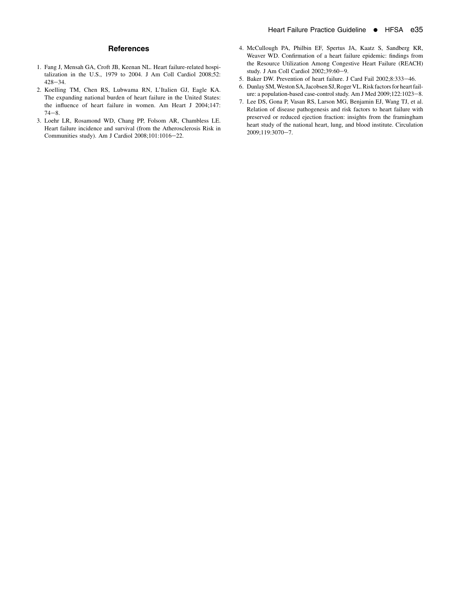### **References**

- <span id="page-1-0"></span>1. Fang J, Mensah GA, Croft JB, Keenan NL. Heart failure-related hospitalization in the U.S., 1979 to 2004. J Am Coll Cardiol 2008;52:  $428 - 34.$
- 2. Koelling TM, Chen RS, Lubwama RN, L'Italien GJ, Eagle KA. The expanding national burden of heart failure in the United States: the influence of heart failure in women. Am Heart J 2004;147:  $74 - 8$
- 3. Loehr LR, Rosamond WD, Chang PP, Folsom AR, Chambless LE. Heart failure incidence and survival (from the Atherosclerosis Risk in Communities study). Am J Cardiol  $2008;101:1016-22$ .
- 4. McCullough PA, Philbin EF, Spertus JA, Kaatz S, Sandberg KR, Weaver WD. Confirmation of a heart failure epidemic: findings from the Resource Utilization Among Congestive Heart Failure (REACH) study. J Am Coll Cardiol 2002;39:60-9.
- 5. Baker DW. Prevention of heart failure. J Card Fail 2002;8:333-46.
- 6. Dunlay SM, Weston SA, Jacobsen SJ, Roger VL. Risk factors for heart failure: a population-based case-control study. Am J Med 2009;122:1023-8.
- 7. Lee DS, Gona P, Vasan RS, Larson MG, Benjamin EJ, Wang TJ, et al. Relation of disease pathogenesis and risk factors to heart failure with preserved or reduced ejection fraction: insights from the framingham heart study of the national heart, lung, and blood institute. Circulation 2009;119:3070-7.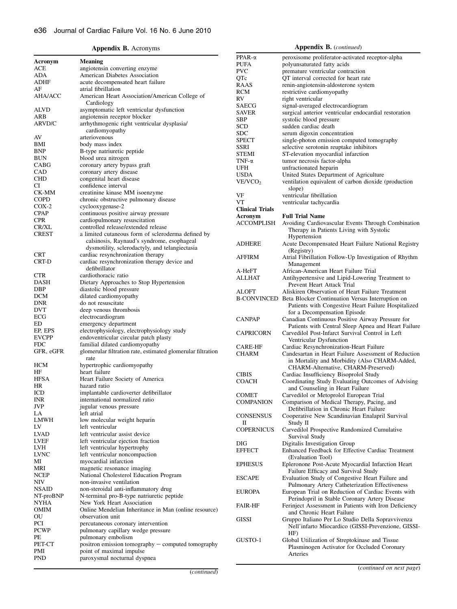# Appendix B. Acronyms

| Acronym                   | <b>Meaning</b>                                                                 |
|---------------------------|--------------------------------------------------------------------------------|
| ACE                       | angiotensin converting enzyme                                                  |
| ADA                       | American Diabetes Association                                                  |
| ADHF                      | acute decompensated heart failure                                              |
| AF                        | atrial fibrillation                                                            |
| AHA/ACC                   | American Heart Association/American College of<br>Cardiology                   |
| ALVD                      | asymptomatic left ventricular dysfunction                                      |
| ARB                       | angiotensin receptor blocker                                                   |
| ARVD/C                    | arrhythmogenic right ventricular dysplasia/<br>cardiomyopathy                  |
| AV                        | arteriovenous                                                                  |
| BMI<br><b>BNP</b>         | body mass index                                                                |
| <b>BUN</b>                | B-type natriuretic peptide<br>blood urea nitrogen                              |
| CABG                      | coronary artery bypass graft                                                   |
| CAD                       | coronary artery disease                                                        |
| <b>CHD</b>                | congenital heart disease                                                       |
| CI                        | confidence interval                                                            |
| CK-MM                     | creatinine kinase MM isoenzyme                                                 |
| <b>COPD</b>               | chronic obstructive pulmonary disease                                          |
| $COX-2$                   | cyclooxygenase-2                                                               |
| <b>CPAP</b><br><b>CPR</b> | continuous positive airway pressure<br>cardiopulmonary resuscitation           |
| CR/XL                     | controlled release/extended release                                            |
| CREST                     | a limited cutaneous form of scleroderma defined by                             |
|                           | calsinosis, Raynaud's syndrome, esophageal                                     |
|                           | dysmotility, sclerodactyly, and telangiectasia                                 |
| CRT                       | cardiac resynchronization therapy                                              |
| CRT-D                     | cardiac resynchronization therapy device and<br>defibrillator                  |
| CTR                       | cardiothoracic ratio                                                           |
| DASH                      | Dietary Approaches to Stop Hypertension                                        |
| DBP                       | diastolic blood pressure                                                       |
| <b>DCM</b>                | dilated cardiomyopathy                                                         |
| DNR                       | do not resuscitate                                                             |
| <b>DVT</b><br>ECG         | deep venous thrombosis                                                         |
| ED                        | electrocardiogram<br>emergency department                                      |
| EP, EPS                   | electrophysiology, electrophysiology study                                     |
| <b>EVCPP</b>              | endoventricular circular patch plasty                                          |
| <b>FDC</b>                | familial dilated cardiomyopathy                                                |
| GFR, eGFR                 | glomerular filtration rate, estimated glomerular filtration<br>rate            |
| <b>HCM</b>                | hypertrophic cardiomyopathy                                                    |
| ΗF                        | heart failure                                                                  |
| <b>HFSA</b>               | Heart Failure Society of America                                               |
| HR                        | hazard ratio                                                                   |
| ICD<br>INR                | implantable cardioverter defibrillator                                         |
| JVP                       | international normalized ratio<br>jugular venous pressure                      |
| LA                        | left atrial                                                                    |
| LMWH                      | low molecular weight heparin                                                   |
| LV                        | left ventricular                                                               |
| <b>LVAD</b>               | left ventricular assist device                                                 |
| <b>LVEF</b>               | left ventricular ejection fraction                                             |
| LVH                       | left ventricular hypertrophy                                                   |
| <b>LVNC</b>               | left ventricular noncompaction                                                 |
| MI<br>MRI                 | myocardial infarction<br>magnetic resonance imaging                            |
| <b>NCEP</b>               | National Cholesterol Education Program                                         |
| NIV                       | non-invasive ventilation                                                       |
| <b>NSAID</b>              | non-steroidal anti-inflammatory drug                                           |
| NT-proBNP                 | N-terminal pro-B-type natriuretic peptide                                      |
| NYHA                      | New York Heart Association                                                     |
| OMIM                      | Online Mendelian Inheritance in Man (online resource)                          |
| OU                        | observation unit                                                               |
| PCI                       | percutaneous coronary intervention                                             |
| <b>PCWP</b>               | pulmonary capillary wedge pressure                                             |
| PЕ<br>PET-CT              | pulmonary embolism                                                             |
| PMI                       | positron emission tomography - computed tomography<br>point of maximal impulse |
| <b>PND</b>                | paroxysmal nocturnal dyspnea                                                   |

| Appendix B. (continued) |  |
|-------------------------|--|
|                         |  |

| $PPAR-\alpha$          | peroxisome proliferator-activated receptor-alpha                                                                                             |
|------------------------|----------------------------------------------------------------------------------------------------------------------------------------------|
| PUFA                   | polyunsaturated fatty acids                                                                                                                  |
| PVC                    | premature ventricular contraction                                                                                                            |
| QTc                    | QT interval corrected for heart rate                                                                                                         |
| RAAS<br><b>RCM</b>     | renin-angiotensin-aldosterone system<br>restrictive cardiomyopathy                                                                           |
| RV                     | right ventricular                                                                                                                            |
| SAECG                  | signal-averaged electrocardiogram                                                                                                            |
| <b>SAVER</b>           | surgical anterior ventricular endocardial restoration                                                                                        |
| SBP                    | systolic blood pressure                                                                                                                      |
| SCD                    | sudden cardiac death                                                                                                                         |
| <b>SDC</b>             | serum digoxin concentration                                                                                                                  |
| <b>SPECT</b>           | single-photon emission computed tomography                                                                                                   |
| SSRI                   | selective serotonin reuptake inhibitors                                                                                                      |
| <b>STEMI</b>           | ST-elevation myocardial infarction                                                                                                           |
| TNF- $\alpha$<br>UFH   | tumor necrosis factor-alpha<br>unfractionated heparin                                                                                        |
| <b>USDA</b>            | United States Department of Agriculture                                                                                                      |
| VE/VCO <sub>2</sub>    | ventilation equivalent of carbon dioxide (production                                                                                         |
|                        | slope)                                                                                                                                       |
| VF                     | ventricular fibrillation                                                                                                                     |
| VT                     | ventricular tachycardia                                                                                                                      |
| <b>Clinical Trials</b> |                                                                                                                                              |
| Acronym                | <b>Full Trial Name</b>                                                                                                                       |
| ACCOMPLISH             | Avoiding Cardiovascular Events Through Combination<br>Therapy in Patients Living with Systolic<br>Hypertension                               |
| <b>ADHERE</b>          | Acute Decompensated Heart Failure National Registry<br>(Registry)                                                                            |
| AFFIRM                 | Atrial Fibrillation Follow-Up Investigation of Rhythm<br>Management                                                                          |
| A-HeFT                 | African-American Heart Failure Trial                                                                                                         |
| ALLHAT                 | Antihypertensive and Lipid-Lowering Treatment to<br>Prevent Heart Attack Trial                                                               |
| ALOFT                  | Aliskiren Observation of Heart Failure Treatment                                                                                             |
| <b>B-CONVINCED</b>     | Beta Blocker Continuation Versus Interruption on<br>Patients with Congestive Heart Failure Hospitalized<br>for a Decompensation Episode      |
| <b>CANPAP</b>          | Canadian Continuous Positive Airway Pressure for<br>Patients with Central Sleep Apnea and Heart Failure                                      |
| <b>CAPRICORN</b>       | Carvedilol Post-Infarct Survival Control in Left<br>Ventricular Dysfunction                                                                  |
| CARE-HF                | Cardiac Resynchronization-Heart Failure                                                                                                      |
| CHARM                  | Candesartan in Heart Failure Assessment of Reduction<br>in Mortality and Morbidity (Also CHARM-Added,<br>CHARM-Alternative, CHARM-Preserved) |
| CIBIS                  | Cardiac Insufficiency Bisoprolol Study                                                                                                       |
| <b>COACH</b>           | Coordinating Study Evaluating Outcomes of Advising                                                                                           |
|                        | and Counseling in Heart Failure                                                                                                              |
| <b>COMET</b>           | Carvedilol or Metoprolol European Trial                                                                                                      |
| <b>COMPANION</b>       | Comparison of Medical Therapy, Pacing, and                                                                                                   |
|                        | Defibrillation in Chronic Heart Failure                                                                                                      |
| <b>CONSENSUS</b><br>П  | Cooperative New Scandinavian Enalapril Survival<br>Study II                                                                                  |
| <b>COPERNICUS</b>      | Carvedilol Prospective Randomized Cumulative<br>Survival Study                                                                               |
| DIG<br><b>EFFECT</b>   | Digitalis Investigation Group<br>Enhanced Feedback for Effective Cardiac Treatment<br>(Evaluation Tool)                                      |
| <b>EPHESUS</b>         | Epleronone Post-Acute Myocardial Infarction Heart<br>Failure Efficacy and Survival Study                                                     |
| <b>ESCAPE</b>          | Evaluation Study of Congestive Heart Failure and<br>Pulmonary Artery Catheterization Effectiveness                                           |
| <b>EUROPA</b>          | European Trial on Reduction of Cardiac Events with<br>Perindopril in Stable Coronary Artery Disease                                          |
| <b>FAIR-HF</b>         | Ferinject Assessment in Patients with Iron Deficiency<br>and Chronic Heart Failure                                                           |
| <b>GISSI</b>           | Gruppo Italiano Per Lo Studio Della Sopravvivenza<br>Nell'infarto Miocardico (GISSI-Prevenzione, GISSI-                                      |
| GUSTO-1                | HF)<br>Global Utilization of Streptokinase and Tissue<br>Plasminogen Activator for Occluded Coronary<br>Arteries                             |